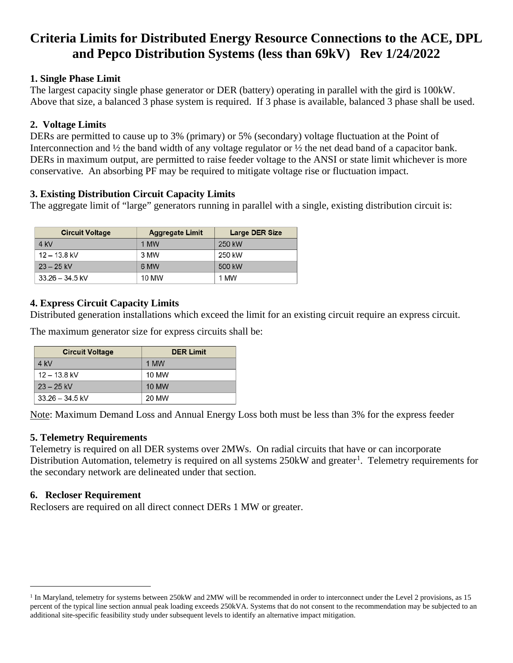# **Criteria Limits for Distributed Energy Resource Connections to the ACE, DPL and Pepco Distribution Systems (less than 69kV) Rev 1/24/2022**

### **1. Single Phase Limit**

The largest capacity single phase generator or DER (battery) operating in parallel with the gird is 100kW. Above that size, a balanced 3 phase system is required. If 3 phase is available, balanced 3 phase shall be used.

# **2. Voltage Limits**

DERs are permitted to cause up to 3% (primary) or 5% (secondary) voltage fluctuation at the Point of Interconnection and ½ the band width of any voltage regulator or ½ the net dead band of a capacitor bank. DERs in maximum output, are permitted to raise feeder voltage to the ANSI or state limit whichever is more conservative. An absorbing PF may be required to mitigate voltage rise or fluctuation impact.

# **3. Existing Distribution Circuit Capacity Limits**

The aggregate limit of "large" generators running in parallel with a single, existing distribution circuit is:

| <b>Circuit Voltage</b> | <b>Aggregate Limit</b> | <b>Large DER Size</b> |
|------------------------|------------------------|-----------------------|
| $4$ kV                 | 1 MW                   | 250 kW                |
| $12 - 13.8$ kV         | 3 MW                   | 250 kW                |
| $23 - 25$ kV           | 6 MW                   | 500 kW                |
| $33.26 - 34.5$ kV      | 10 MW                  | 1 MW                  |

# **4. Express Circuit Capacity Limits**

Distributed generation installations which exceed the limit for an existing circuit require an express circuit.

The maximum generator size for express circuits shall be:

| <b>Circuit Voltage</b> | <b>DER Limit</b> |
|------------------------|------------------|
| 4 kV                   | 1 MW             |
| $12 - 13.8$ kV         | 10 MW            |
| $23 - 25$ kV           | 10 MW            |
| $33.26 - 34.5$ kV      | 20 MW            |

Note: Maximum Demand Loss and Annual Energy Loss both must be less than 3% for the express feeder

# **5. Telemetry Requirements**

Telemetry is required on all DER systems over 2MWs. On radial circuits that have or can incorporate Distribution Automation, telemetry is required on all systems 250kW and greater<sup>[1](#page-0-0)</sup>. Telemetry requirements for the secondary network are delineated under that section.

### **6. Recloser Requirement**

Reclosers are required on all direct connect DERs 1 MW or greater.

<span id="page-0-0"></span><sup>&</sup>lt;sup>1</sup> In Maryland, telemetry for systems between 250kW and 2MW will be recommended in order to interconnect under the Level 2 provisions, as 15 percent of the typical line section annual peak loading exceeds 250kVA. Systems that do not consent to the recommendation may be subjected to an additional site-specific feasibility study under subsequent levels to identify an alternative impact mitigation.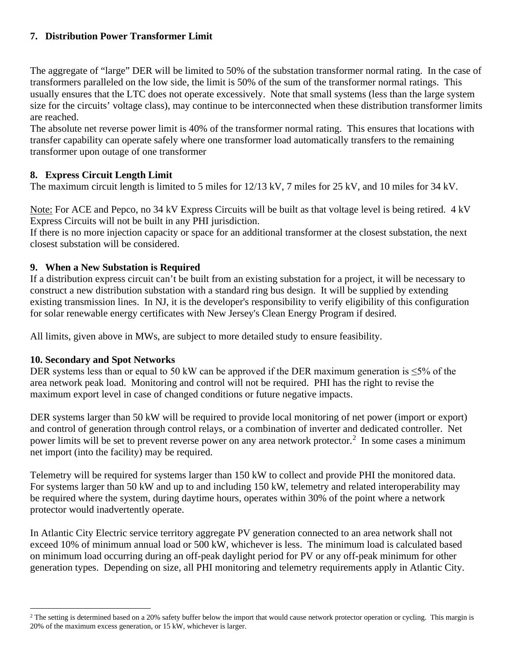## **7. Distribution Power Transformer Limit**

The aggregate of "large" DER will be limited to 50% of the substation transformer normal rating. In the case of transformers paralleled on the low side, the limit is 50% of the sum of the transformer normal ratings. This usually ensures that the LTC does not operate excessively. Note that small systems (less than the large system size for the circuits' voltage class), may continue to be interconnected when these distribution transformer limits are reached.

The absolute net reverse power limit is 40% of the transformer normal rating. This ensures that locations with transfer capability can operate safely where one transformer load automatically transfers to the remaining transformer upon outage of one transformer

## **8. Express Circuit Length Limit**

The maximum circuit length is limited to 5 miles for 12/13 kV, 7 miles for 25 kV, and 10 miles for 34 kV.

Note: For ACE and Pepco, no 34 kV Express Circuits will be built as that voltage level is being retired. 4 kV Express Circuits will not be built in any PHI jurisdiction.

If there is no more injection capacity or space for an additional transformer at the closest substation, the next closest substation will be considered.

### **9. When a New Substation is Required**

If a distribution express circuit can't be built from an existing substation for a project, it will be necessary to construct a new distribution substation with a standard ring bus design. It will be supplied by extending existing transmission lines. In NJ, it is the developer's responsibility to verify eligibility of this configuration for solar renewable energy certificates with New Jersey's Clean Energy Program if desired.

All limits, given above in MWs, are subject to more detailed study to ensure feasibility.

### **10. Secondary and Spot Networks**

DER systems less than or equal to 50 kW can be approved if the DER maximum generation is ≤5% of the area network peak load. Monitoring and control will not be required. PHI has the right to revise the maximum export level in case of changed conditions or future negative impacts.

DER systems larger than 50 kW will be required to provide local monitoring of net power (import or export) and control of generation through control relays, or a combination of inverter and dedicated controller. Net power limits will be set to prevent reverse power on any area network protector.<sup>[2](#page-1-0)</sup> In some cases a minimum net import (into the facility) may be required.

Telemetry will be required for systems larger than 150 kW to collect and provide PHI the monitored data. For systems larger than 50 kW and up to and including 150 kW, telemetry and related interoperability may be required where the system, during daytime hours, operates within 30% of the point where a network protector would inadvertently operate.

In Atlantic City Electric service territory aggregate PV generation connected to an area network shall not exceed 10% of minimum annual load or 500 kW, whichever is less. The minimum load is calculated based on minimum load occurring during an off-peak daylight period for PV or any off-peak minimum for other generation types. Depending on size, all PHI monitoring and telemetry requirements apply in Atlantic City.

<span id="page-1-0"></span><sup>&</sup>lt;sup>2</sup> The setting is determined based on a 20% safety buffer below the import that would cause network protector operation or cycling. This margin is 20% of the maximum excess generation, or 15 kW, whichever is larger.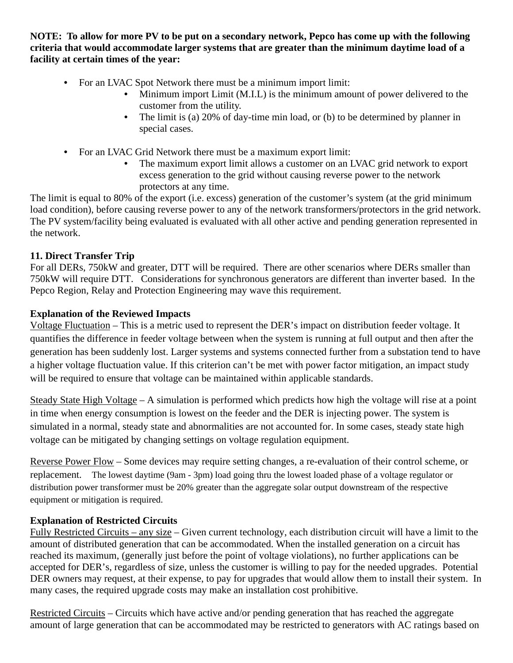**NOTE: To allow for more PV to be put on a secondary network, Pepco has come up with the following criteria that would accommodate larger systems that are greater than the minimum daytime load of a facility at certain times of the year:**

- For an LVAC Spot Network there must be a minimum import limit:
	- Minimum import Limit (M.I.L) is the minimum amount of power delivered to the customer from the utility.
	- The limit is (a) 20% of day-time min load, or (b) to be determined by planner in special cases.
- For an LVAC Grid Network there must be a maximum export limit:
	- The maximum export limit allows a customer on an LVAC grid network to export excess generation to the grid without causing reverse power to the network protectors at any time.

The limit is equal to 80% of the export (i.e. excess) generation of the customer's system (at the grid minimum load condition), before causing reverse power to any of the network transformers/protectors in the grid network. The PV system/facility being evaluated is evaluated with all other active and pending generation represented in the network.

## **11. Direct Transfer Trip**

For all DERs, 750kW and greater, DTT will be required. There are other scenarios where DERs smaller than 750kW will require DTT. Considerations for synchronous generators are different than inverter based. In the Pepco Region, Relay and Protection Engineering may wave this requirement.

## **Explanation of the Reviewed Impacts**

Voltage Fluctuation – This is a metric used to represent the DER's impact on distribution feeder voltage. It quantifies the difference in feeder voltage between when the system is running at full output and then after the generation has been suddenly lost. Larger systems and systems connected further from a substation tend to have a higher voltage fluctuation value. If this criterion can't be met with power factor mitigation, an impact study will be required to ensure that voltage can be maintained within applicable standards.

Steady State High Voltage – A simulation is performed which predicts how high the voltage will rise at a point in time when energy consumption is lowest on the feeder and the DER is injecting power. The system is simulated in a normal, steady state and abnormalities are not accounted for. In some cases, steady state high voltage can be mitigated by changing settings on voltage regulation equipment.

Reverse Power Flow – Some devices may require setting changes, a re-evaluation of their control scheme, or replacement. The lowest daytime (9am - 3pm) load going thru the lowest loaded phase of a voltage regulator or distribution power transformer must be 20% greater than the aggregate solar output downstream of the respective equipment or mitigation is required.

### **Explanation of Restricted Circuits**

Fully Restricted Circuits – any size – Given current technology, each distribution circuit will have a limit to the amount of distributed generation that can be accommodated. When the installed generation on a circuit has reached its maximum, (generally just before the point of voltage violations), no further applications can be accepted for DER's, regardless of size, unless the customer is willing to pay for the needed upgrades. Potential DER owners may request, at their expense, to pay for upgrades that would allow them to install their system. In many cases, the required upgrade costs may make an installation cost prohibitive.

Restricted Circuits – Circuits which have active and/or pending generation that has reached the aggregate amount of large generation that can be accommodated may be restricted to generators with AC ratings based on